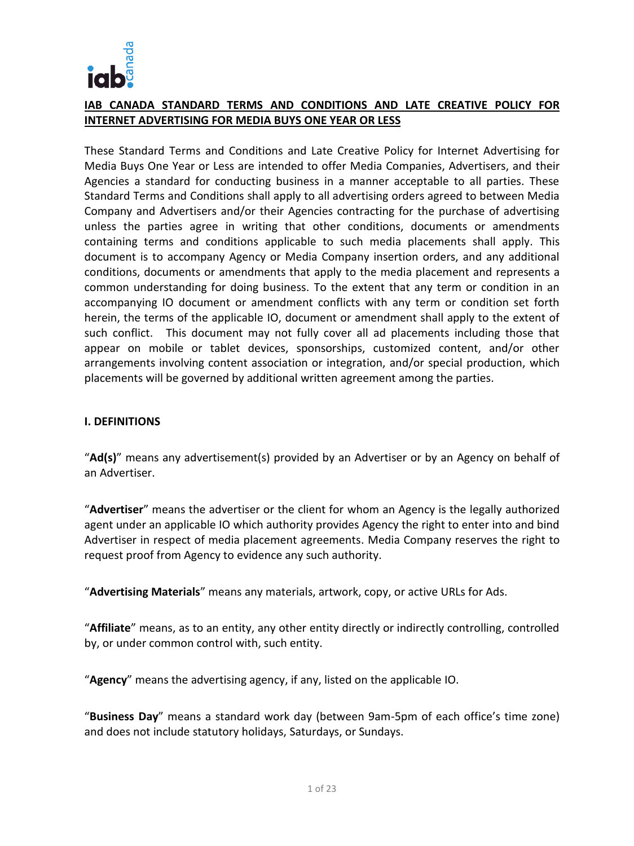

# **IAB CANADA STANDARD TERMS AND CONDITIONS AND LATE CREATIVE POLICY FOR INTERNET ADVERTISING FOR MEDIA BUYS ONE YEAR OR LESS**

These Standard Terms and Conditions and Late Creative Policy for Internet Advertising for Media Buys One Year or Less are intended to offer Media Companies, Advertisers, and their Agencies a standard for conducting business in a manner acceptable to all parties. These Standard Terms and Conditions shall apply to all advertising orders agreed to between Media Company and Advertisers and/or their Agencies contracting for the purchase of advertising unless the parties agree in writing that other conditions, documents or amendments containing terms and conditions applicable to such media placements shall apply. This document is to accompany Agency or Media Company insertion orders, and any additional conditions, documents or amendments that apply to the media placement and represents a common understanding for doing business. To the extent that any term or condition in an accompanying IO document or amendment conflicts with any term or condition set forth herein, the terms of the applicable IO, document or amendment shall apply to the extent of such conflict. This document may not fully cover all ad placements including those that appear on mobile or tablet devices, sponsorships, customized content, and/or other arrangements involving content association or integration, and/or special production, which placements will be governed by additional written agreement among the parties.

### **I. DEFINITIONS**

"**Ad(s)**" means any advertisement(s) provided by an Advertiser or by an Agency on behalf of an Advertiser.

"**Advertiser**" means the advertiser or the client for whom an Agency is the legally authorized agent under an applicable IO which authority provides Agency the right to enter into and bind Advertiser in respect of media placement agreements. Media Company reserves the right to request proof from Agency to evidence any such authority.

"**Advertising Materials**" means any materials, artwork, copy, or active URLs for Ads.

"**Affiliate**" means, as to an entity, any other entity directly or indirectly controlling, controlled by, or under common control with, such entity.

"**Agency**" means the advertising agency, if any, listed on the applicable IO.

"**Business Day**" means a standard work day (between 9am-5pm of each office's time zone) and does not include statutory holidays, Saturdays, or Sundays.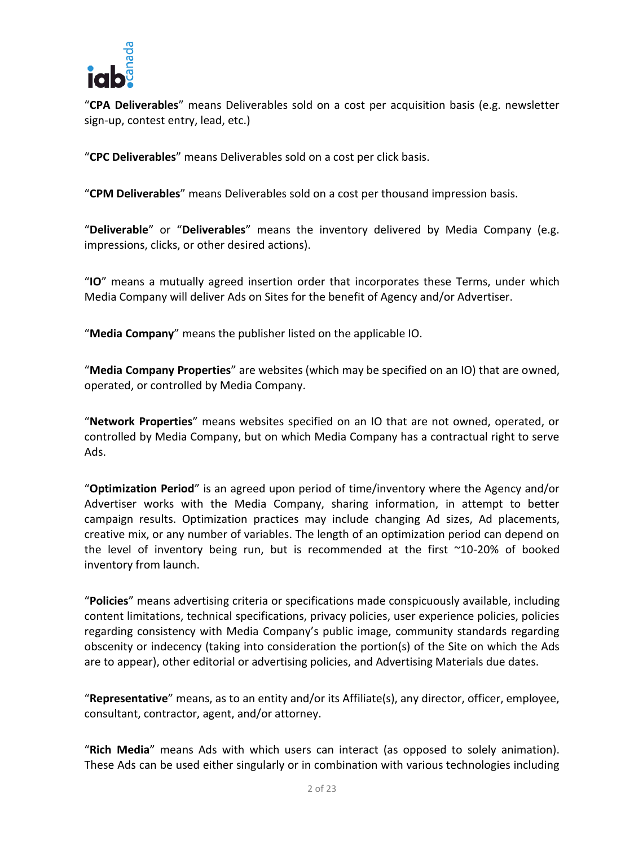

"**CPA Deliverables**" means Deliverables sold on a cost per acquisition basis (e.g. newsletter sign-up, contest entry, lead, etc.)

"**CPC Deliverables**" means Deliverables sold on a cost per click basis.

"**CPM Deliverables**" means Deliverables sold on a cost per thousand impression basis.

"**Deliverable**" or "**Deliverables**" means the inventory delivered by Media Company (e.g. impressions, clicks, or other desired actions).

"**IO**" means a mutually agreed insertion order that incorporates these Terms, under which Media Company will deliver Ads on Sites for the benefit of Agency and/or Advertiser.

"**Media Company**" means the publisher listed on the applicable IO.

"**Media Company Properties**" are websites (which may be specified on an IO) that are owned, operated, or controlled by Media Company.

"**Network Properties**" means websites specified on an IO that are not owned, operated, or controlled by Media Company, but on which Media Company has a contractual right to serve Ads.

"**Optimization Period**" is an agreed upon period of time/inventory where the Agency and/or Advertiser works with the Media Company, sharing information, in attempt to better campaign results. Optimization practices may include changing Ad sizes, Ad placements, creative mix, or any number of variables. The length of an optimization period can depend on the level of inventory being run, but is recommended at the first ~10-20% of booked inventory from launch.

"**Policies**" means advertising criteria or specifications made conspicuously available, including content limitations, technical specifications, privacy policies, user experience policies, policies regarding consistency with Media Company's public image, community standards regarding obscenity or indecency (taking into consideration the portion(s) of the Site on which the Ads are to appear), other editorial or advertising policies, and Advertising Materials due dates.

"**Representative**" means, as to an entity and/or its Affiliate(s), any director, officer, employee, consultant, contractor, agent, and/or attorney.

"**Rich Media**" means Ads with which users can interact (as opposed to solely animation). These Ads can be used either singularly or in combination with various technologies including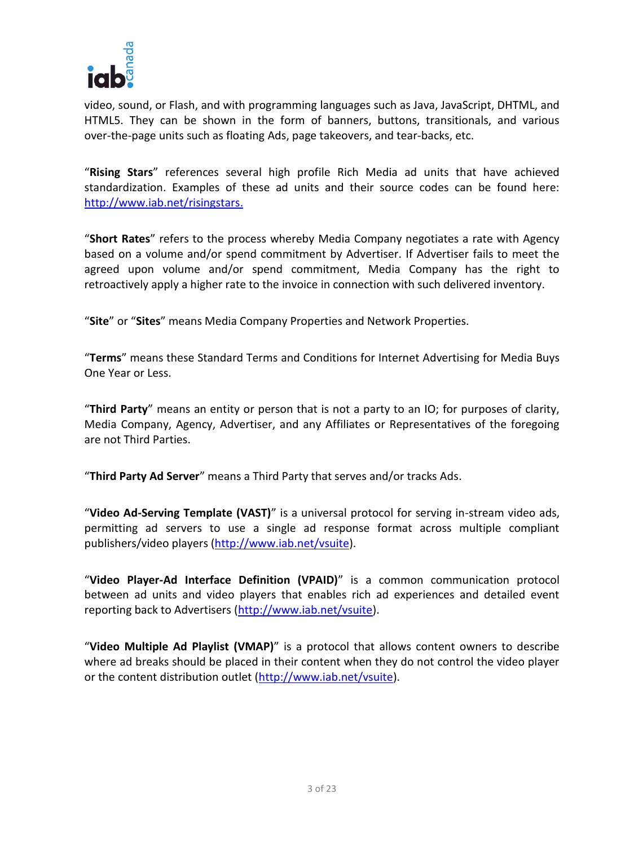

video, sound, or Flash, and with programming languages such as Java, JavaScript, DHTML, and HTML5. They can be shown in the form of banners, buttons, transitionals, and various over-the-page units such as floating Ads, page takeovers, and tear-backs, etc.

"**Rising Stars**" references several high profile Rich Media ad units that have achieved standardization. Examples of these ad units and their source codes can be found here: [http://www.iab.net/risingstars.](http://www.iab.net/risingstars)

"**Short Rates**" refers to the process whereby Media Company negotiates a rate with Agency based on a volume and/or spend commitment by Advertiser. If Advertiser fails to meet the agreed upon volume and/or spend commitment, Media Company has the right to retroactively apply a higher rate to the invoice in connection with such delivered inventory.

"**Site**" or "**Sites**" means Media Company Properties and Network Properties.

"**Terms**" means these Standard Terms and Conditions for Internet Advertising for Media Buys One Year or Less.

"**Third Party**" means an entity or person that is not a party to an IO; for purposes of clarity, Media Company, Agency, Advertiser, and any Affiliates or Representatives of the foregoing are not Third Parties.

"**Third Party Ad Server**" means a Third Party that serves and/or tracks Ads.

"**Video Ad-Serving Template (VAST)**" is a universal protocol for serving in-stream video ads, permitting ad servers to use a single ad response format across multiple compliant publishers/video players [\(http://www.iab.net/vsuite\)](http://www.iab.net/vsuite).

"**Video Player-Ad Interface Definition (VPAID)**" is a common communication protocol between ad units and video players that enables rich ad experiences and detailed event reporting back to Advertisers [\(http://www.iab.net/vsuite\)](http://www.iab.net/vsuite).

"**Video Multiple Ad Playlist (VMAP)**" is a protocol that allows content owners to describe where ad breaks should be placed in their content when they do not control the video player or the content distribution outlet [\(http://www.iab.net/vsuite\)](http://www.iab.net/vsuite).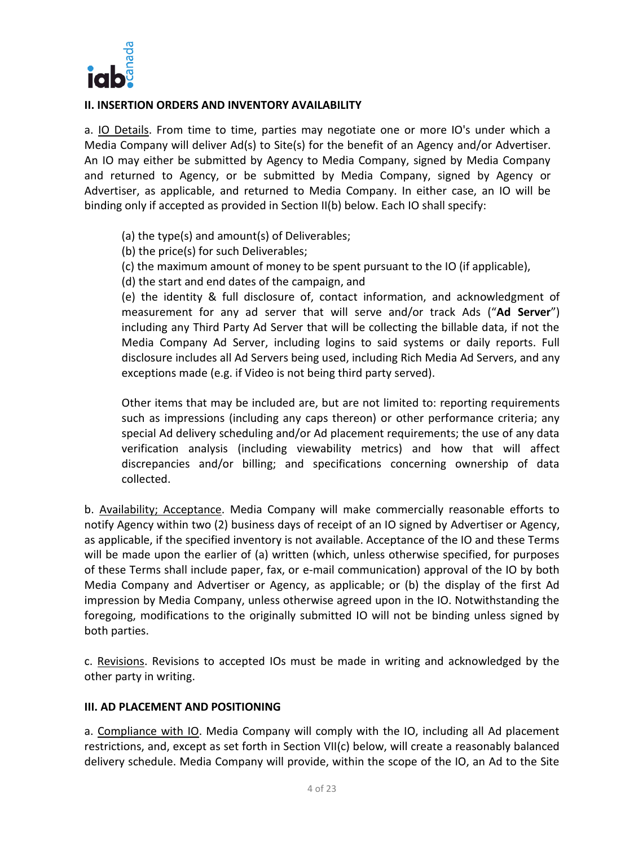

## **II. INSERTION ORDERS AND INVENTORY AVAILABILITY**

a. **IO Details**. From time to time, parties may negotiate one or more IO's under which a Media Company will deliver Ad(s) to Site(s) for the benefit of an Agency and/or Advertiser. An IO may either be submitted by Agency to Media Company, signed by Media Company and returned to Agency, or be submitted by Media Company, signed by Agency or Advertiser, as applicable, and returned to Media Company. In either case, an IO will be binding only if accepted as provided in Section II(b) below. Each IO shall specify:

- (a) the type(s) and amount(s) of Deliverables;
- (b) the price(s) for such Deliverables;
- (c) the maximum amount of money to be spent pursuant to the IO (if applicable),
- (d) the start and end dates of the campaign, and

(e) the identity & full disclosure of, contact information, and acknowledgment of measurement for any ad server that will serve and/or track Ads ("**Ad Server**") including any Third Party Ad Server that will be collecting the billable data, if not the Media Company Ad Server, including logins to said systems or daily reports. Full disclosure includes all Ad Servers being used, including Rich Media Ad Servers, and any exceptions made (e.g. if Video is not being third party served).

Other items that may be included are, but are not limited to: reporting requirements such as impressions (including any caps thereon) or other performance criteria; any special Ad delivery scheduling and/or Ad placement requirements; the use of any data verification analysis (including viewability metrics) and how that will affect discrepancies and/or billing; and specifications concerning ownership of data collected.

b. Availability; Acceptance. Media Company will make commercially reasonable efforts to notify Agency within two (2) business days of receipt of an IO signed by Advertiser or Agency, as applicable, if the specified inventory is not available. Acceptance of the IO and these Terms will be made upon the earlier of (a) written (which, unless otherwise specified, for purposes of these Terms shall include paper, fax, or e-mail communication) approval of the IO by both Media Company and Advertiser or Agency, as applicable; or (b) the display of the first Ad impression by Media Company, unless otherwise agreed upon in the IO. Notwithstanding the foregoing, modifications to the originally submitted IO will not be binding unless signed by both parties.

c. Revisions. Revisions to accepted IOs must be made in writing and acknowledged by the other party in writing.

## **III. AD PLACEMENT AND POSITIONING**

a. Compliance with IO. Media Company will comply with the IO, including all Ad placement restrictions, and, except as set forth in Section VII(c) below, will create a reasonably balanced delivery schedule. Media Company will provide, within the scope of the IO, an Ad to the Site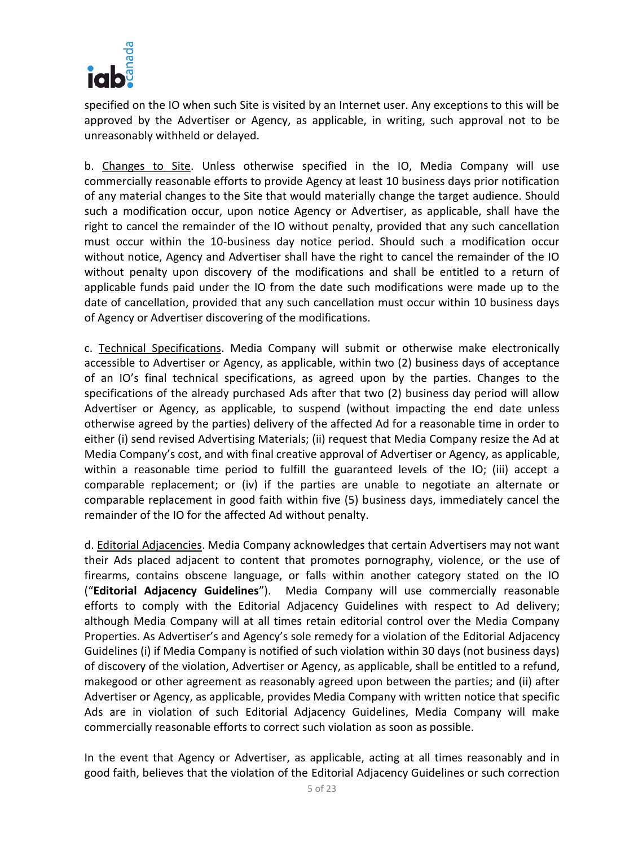

specified on the IO when such Site is visited by an Internet user. Any exceptions to this will be approved by the Advertiser or Agency, as applicable, in writing, such approval not to be unreasonably withheld or delayed.

b. Changes to Site. Unless otherwise specified in the IO, Media Company will use commercially reasonable efforts to provide Agency at least 10 business days prior notification of any material changes to the Site that would materially change the target audience. Should such a modification occur, upon notice Agency or Advertiser, as applicable, shall have the right to cancel the remainder of the IO without penalty, provided that any such cancellation must occur within the 10-business day notice period. Should such a modification occur without notice, Agency and Advertiser shall have the right to cancel the remainder of the IO without penalty upon discovery of the modifications and shall be entitled to a return of applicable funds paid under the IO from the date such modifications were made up to the date of cancellation, provided that any such cancellation must occur within 10 business days of Agency or Advertiser discovering of the modifications.

c. Technical Specifications. Media Company will submit or otherwise make electronically accessible to Advertiser or Agency, as applicable, within two (2) business days of acceptance of an IO's final technical specifications, as agreed upon by the parties. Changes to the specifications of the already purchased Ads after that two (2) business day period will allow Advertiser or Agency, as applicable, to suspend (without impacting the end date unless otherwise agreed by the parties) delivery of the affected Ad for a reasonable time in order to either (i) send revised Advertising Materials; (ii) request that Media Company resize the Ad at Media Company's cost, and with final creative approval of Advertiser or Agency, as applicable, within a reasonable time period to fulfill the guaranteed levels of the IO; (iii) accept a comparable replacement; or (iv) if the parties are unable to negotiate an alternate or comparable replacement in good faith within five (5) business days, immediately cancel the remainder of the IO for the affected Ad without penalty.

d. Editorial Adjacencies. Media Company acknowledges that certain Advertisers may not want their Ads placed adjacent to content that promotes pornography, violence, or the use of firearms, contains obscene language, or falls within another category stated on the IO ("**Editorial Adjacency Guidelines**"). Media Company will use commercially reasonable efforts to comply with the Editorial Adjacency Guidelines with respect to Ad delivery; although Media Company will at all times retain editorial control over the Media Company Properties. As Advertiser's and Agency's sole remedy for a violation of the Editorial Adjacency Guidelines (i) if Media Company is notified of such violation within 30 days (not business days) of discovery of the violation, Advertiser or Agency, as applicable, shall be entitled to a refund, makegood or other agreement as reasonably agreed upon between the parties; and (ii) after Advertiser or Agency, as applicable, provides Media Company with written notice that specific Ads are in violation of such Editorial Adjacency Guidelines, Media Company will make commercially reasonable efforts to correct such violation as soon as possible.

In the event that Agency or Advertiser, as applicable, acting at all times reasonably and in good faith, believes that the violation of the Editorial Adjacency Guidelines or such correction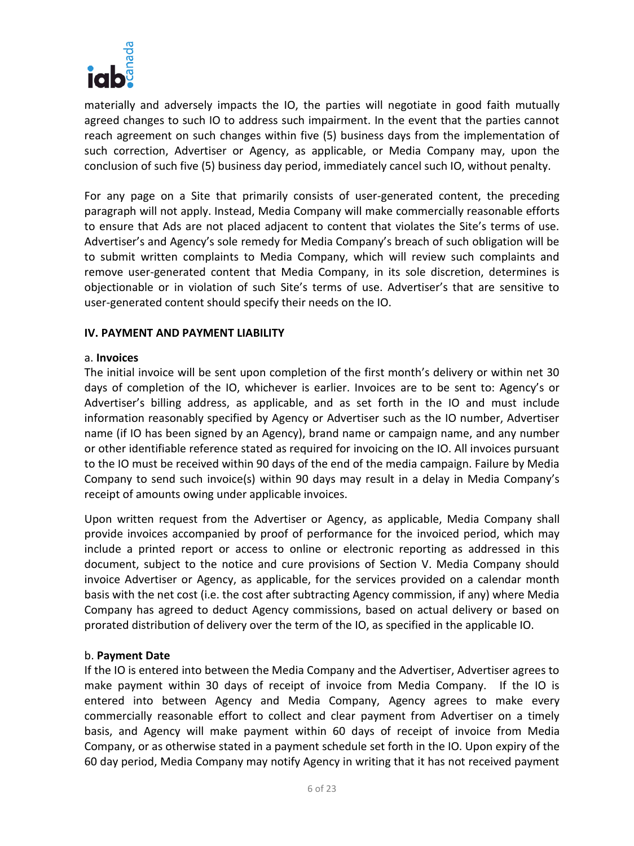

materially and adversely impacts the IO, the parties will negotiate in good faith mutually agreed changes to such IO to address such impairment. In the event that the parties cannot reach agreement on such changes within five (5) business days from the implementation of such correction, Advertiser or Agency, as applicable, or Media Company may, upon the conclusion of such five (5) business day period, immediately cancel such IO, without penalty.

For any page on a Site that primarily consists of user-generated content, the preceding paragraph will not apply. Instead, Media Company will make commercially reasonable efforts to ensure that Ads are not placed adjacent to content that violates the Site's terms of use. Advertiser's and Agency's sole remedy for Media Company's breach of such obligation will be to submit written complaints to Media Company, which will review such complaints and remove user-generated content that Media Company, in its sole discretion, determines is objectionable or in violation of such Site's terms of use. Advertiser's that are sensitive to user-generated content should specify their needs on the IO.

### **IV. PAYMENT AND PAYMENT LIABILITY**

#### a. **Invoices**

The initial invoice will be sent upon completion of the first month's delivery or within net 30 days of completion of the IO, whichever is earlier. Invoices are to be sent to: Agency's or Advertiser's billing address, as applicable, and as set forth in the IO and must include information reasonably specified by Agency or Advertiser such as the IO number, Advertiser name (if IO has been signed by an Agency), brand name or campaign name, and any number or other identifiable reference stated as required for invoicing on the IO. All invoices pursuant to the IO must be received within 90 days of the end of the media campaign. Failure by Media Company to send such invoice(s) within 90 days may result in a delay in Media Company's receipt of amounts owing under applicable invoices.

Upon written request from the Advertiser or Agency, as applicable, Media Company shall provide invoices accompanied by proof of performance for the invoiced period, which may include a printed report or access to online or electronic reporting as addressed in this document, subject to the notice and cure provisions of Section V. Media Company should invoice Advertiser or Agency, as applicable, for the services provided on a calendar month basis with the net cost (i.e. the cost after subtracting Agency commission, if any) where Media Company has agreed to deduct Agency commissions, based on actual delivery or based on prorated distribution of delivery over the term of the IO, as specified in the applicable IO.

## b. **Payment Date**

If the IO is entered into between the Media Company and the Advertiser, Advertiser agrees to make payment within 30 days of receipt of invoice from Media Company. If the IO is entered into between Agency and Media Company, Agency agrees to make every commercially reasonable effort to collect and clear payment from Advertiser on a timely basis, and Agency will make payment within 60 days of receipt of invoice from Media Company, or as otherwise stated in a payment schedule set forth in the IO. Upon expiry of the 60 day period, Media Company may notify Agency in writing that it has not received payment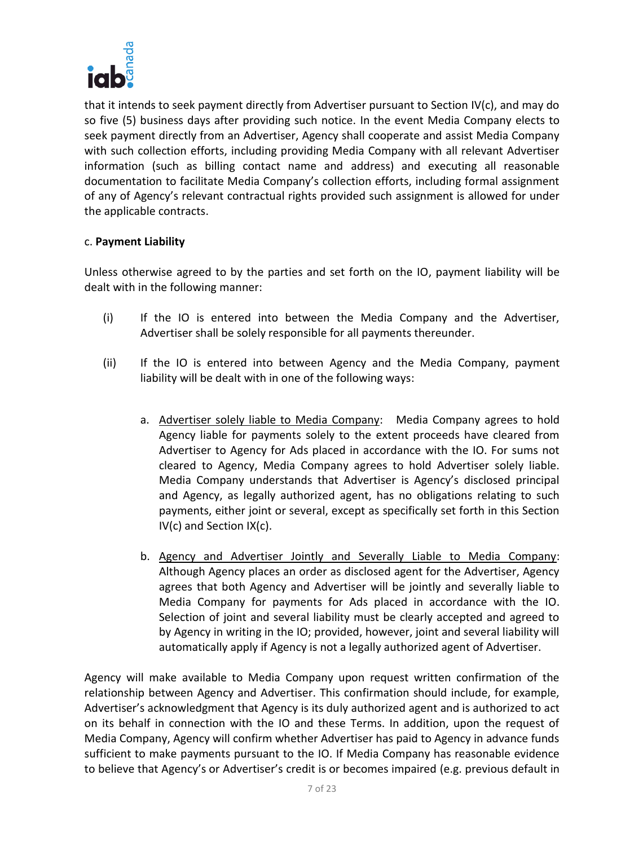

that it intends to seek payment directly from Advertiser pursuant to Section IV(c), and may do so five (5) business days after providing such notice. In the event Media Company elects to seek payment directly from an Advertiser, Agency shall cooperate and assist Media Company with such collection efforts, including providing Media Company with all relevant Advertiser information (such as billing contact name and address) and executing all reasonable documentation to facilitate Media Company's collection efforts, including formal assignment of any of Agency's relevant contractual rights provided such assignment is allowed for under the applicable contracts.

## c. **Payment Liability**

Unless otherwise agreed to by the parties and set forth on the IO, payment liability will be dealt with in the following manner:

- (i) If the IO is entered into between the Media Company and the Advertiser, Advertiser shall be solely responsible for all payments thereunder.
- (ii) If the IO is entered into between Agency and the Media Company, payment liability will be dealt with in one of the following ways:
	- a. Advertiser solely liable to Media Company: Media Company agrees to hold Agency liable for payments solely to the extent proceeds have cleared from Advertiser to Agency for Ads placed in accordance with the IO. For sums not cleared to Agency, Media Company agrees to hold Advertiser solely liable. Media Company understands that Advertiser is Agency's disclosed principal and Agency, as legally authorized agent, has no obligations relating to such payments, either joint or several, except as specifically set forth in this Section IV(c) and Section IX(c).
	- b. Agency and Advertiser Jointly and Severally Liable to Media Company: Although Agency places an order as disclosed agent for the Advertiser, Agency agrees that both Agency and Advertiser will be jointly and severally liable to Media Company for payments for Ads placed in accordance with the IO. Selection of joint and several liability must be clearly accepted and agreed to by Agency in writing in the IO; provided, however, joint and several liability will automatically apply if Agency is not a legally authorized agent of Advertiser.

Agency will make available to Media Company upon request written confirmation of the relationship between Agency and Advertiser. This confirmation should include, for example, Advertiser's acknowledgment that Agency is its duly authorized agent and is authorized to act on its behalf in connection with the IO and these Terms. In addition, upon the request of Media Company, Agency will confirm whether Advertiser has paid to Agency in advance funds sufficient to make payments pursuant to the IO. If Media Company has reasonable evidence to believe that Agency's or Advertiser's credit is or becomes impaired (e.g. previous default in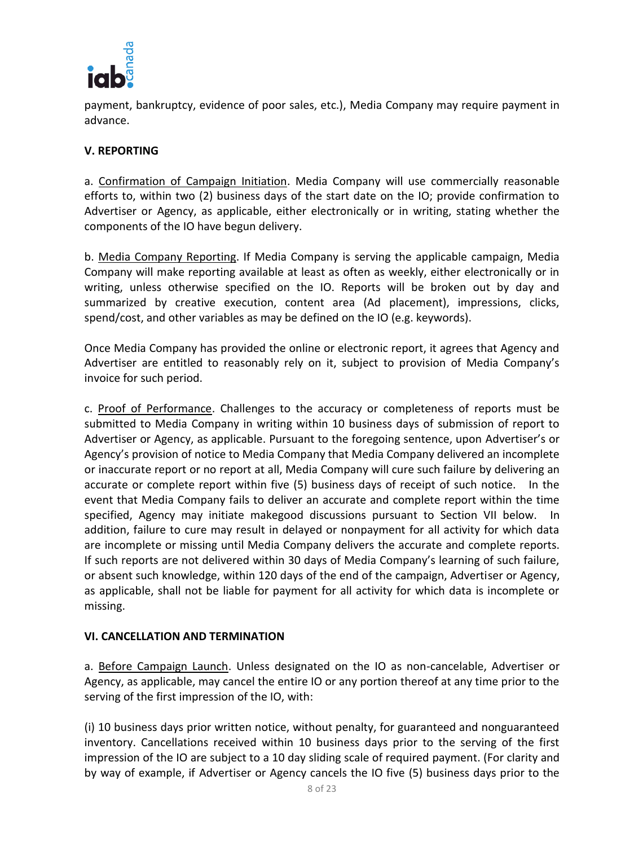

payment, bankruptcy, evidence of poor sales, etc.), Media Company may require payment in advance.

## **V. REPORTING**

a. Confirmation of Campaign Initiation. Media Company will use commercially reasonable efforts to, within two (2) business days of the start date on the IO; provide confirmation to Advertiser or Agency, as applicable, either electronically or in writing, stating whether the components of the IO have begun delivery.

b. Media Company Reporting. If Media Company is serving the applicable campaign, Media Company will make reporting available at least as often as weekly, either electronically or in writing, unless otherwise specified on the IO. Reports will be broken out by day and summarized by creative execution, content area (Ad placement), impressions, clicks, spend/cost, and other variables as may be defined on the IO (e.g. keywords).

Once Media Company has provided the online or electronic report, it agrees that Agency and Advertiser are entitled to reasonably rely on it, subject to provision of Media Company's invoice for such period.

c. Proof of Performance. Challenges to the accuracy or completeness of reports must be submitted to Media Company in writing within 10 business days of submission of report to Advertiser or Agency, as applicable. Pursuant to the foregoing sentence, upon Advertiser's or Agency's provision of notice to Media Company that Media Company delivered an incomplete or inaccurate report or no report at all, Media Company will cure such failure by delivering an accurate or complete report within five (5) business days of receipt of such notice. In the event that Media Company fails to deliver an accurate and complete report within the time specified, Agency may initiate makegood discussions pursuant to Section VII below. In addition, failure to cure may result in delayed or nonpayment for all activity for which data are incomplete or missing until Media Company delivers the accurate and complete reports. If such reports are not delivered within 30 days of Media Company's learning of such failure, or absent such knowledge, within 120 days of the end of the campaign, Advertiser or Agency, as applicable, shall not be liable for payment for all activity for which data is incomplete or missing.

## **VI. CANCELLATION AND TERMINATION**

a. Before Campaign Launch. Unless designated on the IO as non-cancelable, Advertiser or Agency, as applicable, may cancel the entire IO or any portion thereof at any time prior to the serving of the first impression of the IO, with:

(i) 10 business days prior written notice, without penalty, for guaranteed and nonguaranteed inventory. Cancellations received within 10 business days prior to the serving of the first impression of the IO are subject to a 10 day sliding scale of required payment. (For clarity and by way of example, if Advertiser or Agency cancels the IO five (5) business days prior to the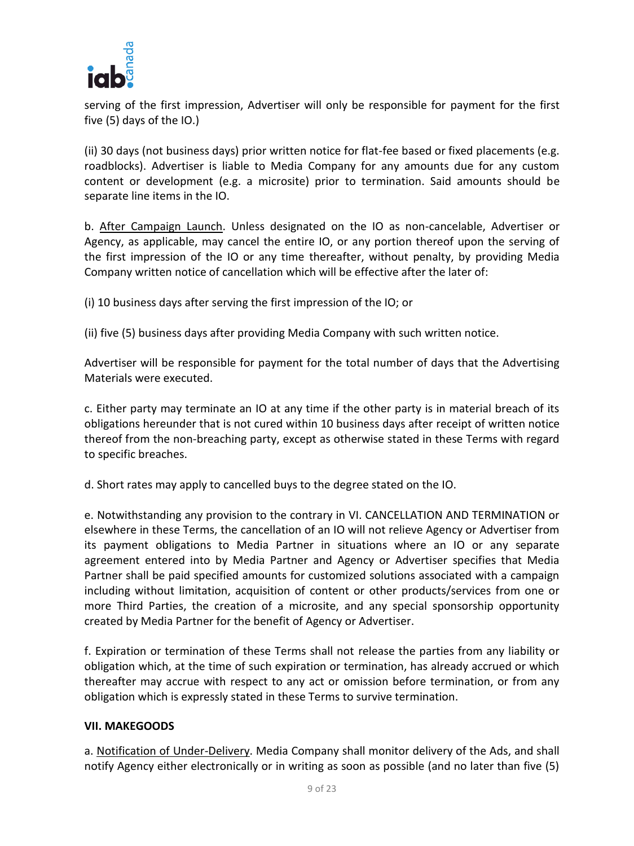

serving of the first impression, Advertiser will only be responsible for payment for the first five (5) days of the IO.)

(ii) 30 days (not business days) prior written notice for flat-fee based or fixed placements (e.g. roadblocks). Advertiser is liable to Media Company for any amounts due for any custom content or development (e.g. a microsite) prior to termination. Said amounts should be separate line items in the IO.

b. After Campaign Launch. Unless designated on the IO as non-cancelable, Advertiser or Agency, as applicable, may cancel the entire IO, or any portion thereof upon the serving of the first impression of the IO or any time thereafter, without penalty, by providing Media Company written notice of cancellation which will be effective after the later of:

(i) 10 business days after serving the first impression of the IO; or

(ii) five (5) business days after providing Media Company with such written notice.

Advertiser will be responsible for payment for the total number of days that the Advertising Materials were executed.

c. Either party may terminate an IO at any time if the other party is in material breach of its obligations hereunder that is not cured within 10 business days after receipt of written notice thereof from the non-breaching party, except as otherwise stated in these Terms with regard to specific breaches.

d. Short rates may apply to cancelled buys to the degree stated on the IO.

e. Notwithstanding any provision to the contrary in VI. CANCELLATION AND TERMINATION or elsewhere in these Terms, the cancellation of an IO will not relieve Agency or Advertiser from its payment obligations to Media Partner in situations where an IO or any separate agreement entered into by Media Partner and Agency or Advertiser specifies that Media Partner shall be paid specified amounts for customized solutions associated with a campaign including without limitation, acquisition of content or other products/services from one or more Third Parties, the creation of a microsite, and any special sponsorship opportunity created by Media Partner for the benefit of Agency or Advertiser.

f. Expiration or termination of these Terms shall not release the parties from any liability or obligation which, at the time of such expiration or termination, has already accrued or which thereafter may accrue with respect to any act or omission before termination, or from any obligation which is expressly stated in these Terms to survive termination.

## **VII. MAKEGOODS**

a. Notification of Under-Delivery. Media Company shall monitor delivery of the Ads, and shall notify Agency either electronically or in writing as soon as possible (and no later than five (5)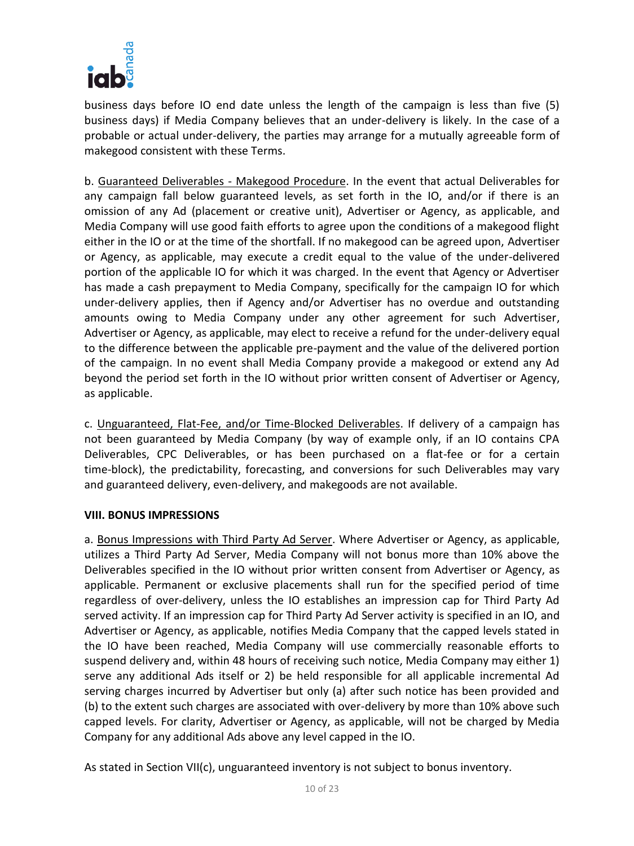

business days before IO end date unless the length of the campaign is less than five (5) business days) if Media Company believes that an under-delivery is likely. In the case of a probable or actual under-delivery, the parties may arrange for a mutually agreeable form of makegood consistent with these Terms.

b. Guaranteed Deliverables - Makegood Procedure. In the event that actual Deliverables for any campaign fall below guaranteed levels, as set forth in the IO, and/or if there is an omission of any Ad (placement or creative unit), Advertiser or Agency, as applicable, and Media Company will use good faith efforts to agree upon the conditions of a makegood flight either in the IO or at the time of the shortfall. If no makegood can be agreed upon, Advertiser or Agency, as applicable, may execute a credit equal to the value of the under-delivered portion of the applicable IO for which it was charged. In the event that Agency or Advertiser has made a cash prepayment to Media Company, specifically for the campaign IO for which under-delivery applies, then if Agency and/or Advertiser has no overdue and outstanding amounts owing to Media Company under any other agreement for such Advertiser, Advertiser or Agency, as applicable, may elect to receive a refund for the under-delivery equal to the difference between the applicable pre-payment and the value of the delivered portion of the campaign. In no event shall Media Company provide a makegood or extend any Ad beyond the period set forth in the IO without prior written consent of Advertiser or Agency, as applicable.

c. Unguaranteed, Flat-Fee, and/or Time-Blocked Deliverables. If delivery of a campaign has not been guaranteed by Media Company (by way of example only, if an IO contains CPA Deliverables, CPC Deliverables, or has been purchased on a flat-fee or for a certain time-block), the predictability, forecasting, and conversions for such Deliverables may vary and guaranteed delivery, even-delivery, and makegoods are not available.

#### **VIII. BONUS IMPRESSIONS**

a. Bonus Impressions with Third Party Ad Server. Where Advertiser or Agency, as applicable, utilizes a Third Party Ad Server, Media Company will not bonus more than 10% above the Deliverables specified in the IO without prior written consent from Advertiser or Agency, as applicable. Permanent or exclusive placements shall run for the specified period of time regardless of over-delivery, unless the IO establishes an impression cap for Third Party Ad served activity. If an impression cap for Third Party Ad Server activity is specified in an IO, and Advertiser or Agency, as applicable, notifies Media Company that the capped levels stated in the IO have been reached, Media Company will use commercially reasonable efforts to suspend delivery and, within 48 hours of receiving such notice, Media Company may either 1) serve any additional Ads itself or 2) be held responsible for all applicable incremental Ad serving charges incurred by Advertiser but only (a) after such notice has been provided and (b) to the extent such charges are associated with over-delivery by more than 10% above such capped levels. For clarity, Advertiser or Agency, as applicable, will not be charged by Media Company for any additional Ads above any level capped in the IO.

As stated in Section VII(c), unguaranteed inventory is not subject to bonus inventory.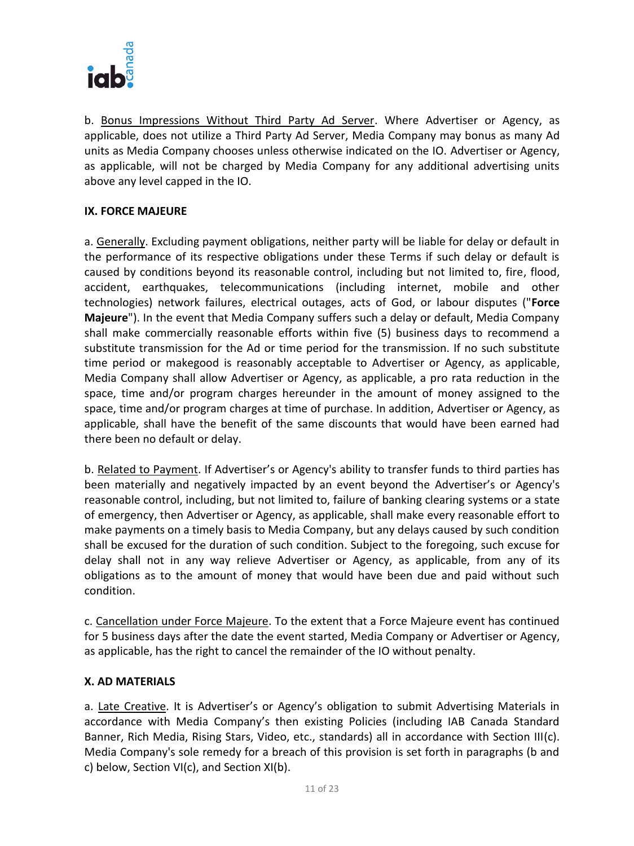

b. Bonus Impressions Without Third Party Ad Server. Where Advertiser or Agency, as applicable, does not utilize a Third Party Ad Server, Media Company may bonus as many Ad units as Media Company chooses unless otherwise indicated on the IO. Advertiser or Agency, as applicable, will not be charged by Media Company for any additional advertising units above any level capped in the IO.

## **IX. FORCE MAJEURE**

a. Generally. Excluding payment obligations, neither party will be liable for delay or default in the performance of its respective obligations under these Terms if such delay or default is caused by conditions beyond its reasonable control, including but not limited to, fire, flood, accident, earthquakes, telecommunications (including internet, mobile and other technologies) network failures, electrical outages, acts of God, or labour disputes ("**Force Majeure**"). In the event that Media Company suffers such a delay or default, Media Company shall make commercially reasonable efforts within five (5) business days to recommend a substitute transmission for the Ad or time period for the transmission. If no such substitute time period or makegood is reasonably acceptable to Advertiser or Agency, as applicable, Media Company shall allow Advertiser or Agency, as applicable, a pro rata reduction in the space, time and/or program charges hereunder in the amount of money assigned to the space, time and/or program charges at time of purchase. In addition, Advertiser or Agency, as applicable, shall have the benefit of the same discounts that would have been earned had there been no default or delay.

b. Related to Payment. If Advertiser's or Agency's ability to transfer funds to third parties has been materially and negatively impacted by an event beyond the Advertiser's or Agency's reasonable control, including, but not limited to, failure of banking clearing systems or a state of emergency, then Advertiser or Agency, as applicable, shall make every reasonable effort to make payments on a timely basis to Media Company, but any delays caused by such condition shall be excused for the duration of such condition. Subject to the foregoing, such excuse for delay shall not in any way relieve Advertiser or Agency, as applicable, from any of its obligations as to the amount of money that would have been due and paid without such condition.

c. Cancellation under Force Majeure. To the extent that a Force Majeure event has continued for 5 business days after the date the event started, Media Company or Advertiser or Agency, as applicable, has the right to cancel the remainder of the IO without penalty.

## **X. AD MATERIALS**

a. Late Creative. It is Advertiser's or Agency's obligation to submit Advertising Materials in accordance with Media Company's then existing Policies (including IAB Canada Standard Banner, Rich Media, Rising Stars, Video, etc., standards) all in accordance with Section III(c). Media Company's sole remedy for a breach of this provision is set forth in paragraphs (b and c) below, Section VI(c), and Section XI(b).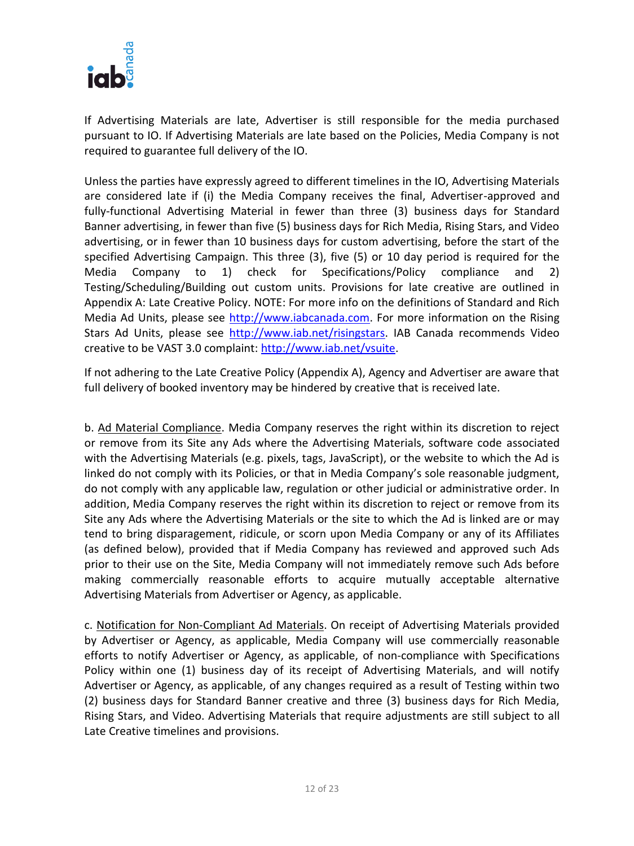

If Advertising Materials are late, Advertiser is still responsible for the media purchased pursuant to IO. If Advertising Materials are late based on the Policies, Media Company is not required to guarantee full delivery of the IO.

Unless the parties have expressly agreed to different timelines in the IO, Advertising Materials are considered late if (i) the Media Company receives the final, Advertiser-approved and fully-functional Advertising Material in fewer than three (3) business days for Standard Banner advertising, in fewer than five (5) business days for Rich Media, Rising Stars, and Video advertising, or in fewer than 10 business days for custom advertising, before the start of the specified Advertising Campaign. This three (3), five (5) or 10 day period is required for the Media Company to 1) check for Specifications/Policy compliance and 2) Testing/Scheduling/Building out custom units. Provisions for late creative are outlined in Appendix A: Late Creative Policy. NOTE: For more info on the definitions of Standard and Rich Media Ad Units, please see [http://www.iabcanada.com.](http://www.iabcanada.com/) For more information on the Rising Stars Ad Units, please see [http://www.iab.net/risingstars.](http://www.iab.net/risingstars) IAB Canada recommends Video creative to be VAST 3.0 complaint: [http://www.iab.net/vsuite.](http://www.iab.net/vsuite)

If not adhering to the Late Creative Policy (Appendix A), Agency and Advertiser are aware that full delivery of booked inventory may be hindered by creative that is received late.

b. Ad Material Compliance. Media Company reserves the right within its discretion to reject or remove from its Site any Ads where the Advertising Materials, software code associated with the Advertising Materials (e.g. pixels, tags, JavaScript), or the website to which the Ad is linked do not comply with its Policies, or that in Media Company's sole reasonable judgment, do not comply with any applicable law, regulation or other judicial or administrative order. In addition, Media Company reserves the right within its discretion to reject or remove from its Site any Ads where the Advertising Materials or the site to which the Ad is linked are or may tend to bring disparagement, ridicule, or scorn upon Media Company or any of its Affiliates (as defined below), provided that if Media Company has reviewed and approved such Ads prior to their use on the Site, Media Company will not immediately remove such Ads before making commercially reasonable efforts to acquire mutually acceptable alternative Advertising Materials from Advertiser or Agency, as applicable.

c. Notification for Non-Compliant Ad Materials. On receipt of Advertising Materials provided by Advertiser or Agency, as applicable, Media Company will use commercially reasonable efforts to notify Advertiser or Agency, as applicable, of non-compliance with Specifications Policy within one (1) business day of its receipt of Advertising Materials, and will notify Advertiser or Agency, as applicable, of any changes required as a result of Testing within two (2) business days for Standard Banner creative and three (3) business days for Rich Media, Rising Stars, and Video. Advertising Materials that require adjustments are still subject to all Late Creative timelines and provisions.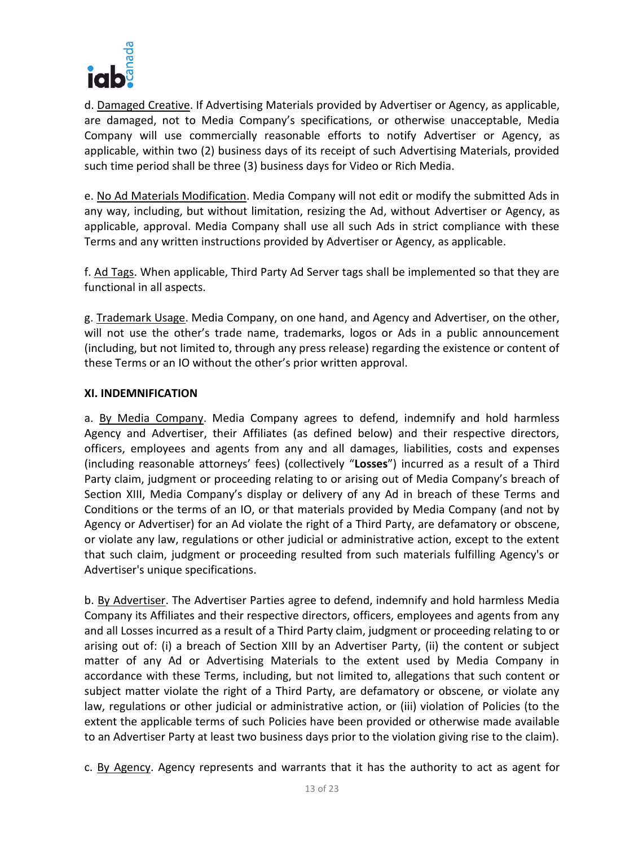

d. Damaged Creative. If Advertising Materials provided by Advertiser or Agency, as applicable, are damaged, not to Media Company's specifications, or otherwise unacceptable, Media Company will use commercially reasonable efforts to notify Advertiser or Agency, as applicable, within two (2) business days of its receipt of such Advertising Materials, provided such time period shall be three (3) business days for Video or Rich Media.

e. No Ad Materials Modification. Media Company will not edit or modify the submitted Ads in any way, including, but without limitation, resizing the Ad, without Advertiser or Agency, as applicable, approval. Media Company shall use all such Ads in strict compliance with these Terms and any written instructions provided by Advertiser or Agency, as applicable.

f. Ad Tags. When applicable, Third Party Ad Server tags shall be implemented so that they are functional in all aspects.

g. Trademark Usage. Media Company, on one hand, and Agency and Advertiser, on the other, will not use the other's trade name, trademarks, logos or Ads in a public announcement (including, but not limited to, through any press release) regarding the existence or content of these Terms or an IO without the other's prior written approval.

### **XI. INDEMNIFICATION**

a. By Media Company. Media Company agrees to defend, indemnify and hold harmless Agency and Advertiser, their Affiliates (as defined below) and their respective directors, officers, employees and agents from any and all damages, liabilities, costs and expenses (including reasonable attorneys' fees) (collectively "**Losses**") incurred as a result of a Third Party claim, judgment or proceeding relating to or arising out of Media Company's breach of Section XIII, Media Company's display or delivery of any Ad in breach of these Terms and Conditions or the terms of an IO, or that materials provided by Media Company (and not by Agency or Advertiser) for an Ad violate the right of a Third Party, are defamatory or obscene, or violate any law, regulations or other judicial or administrative action, except to the extent that such claim, judgment or proceeding resulted from such materials fulfilling Agency's or Advertiser's unique specifications.

b. By Advertiser. The Advertiser Parties agree to defend, indemnify and hold harmless Media Company its Affiliates and their respective directors, officers, employees and agents from any and all Losses incurred as a result of a Third Party claim, judgment or proceeding relating to or arising out of: (i) a breach of Section XIII by an Advertiser Party, (ii) the content or subject matter of any Ad or Advertising Materials to the extent used by Media Company in accordance with these Terms, including, but not limited to, allegations that such content or subject matter violate the right of a Third Party, are defamatory or obscene, or violate any law, regulations or other judicial or administrative action, or (iii) violation of Policies (to the extent the applicable terms of such Policies have been provided or otherwise made available to an Advertiser Party at least two business days prior to the violation giving rise to the claim).

c. By Agency. Agency represents and warrants that it has the authority to act as agent for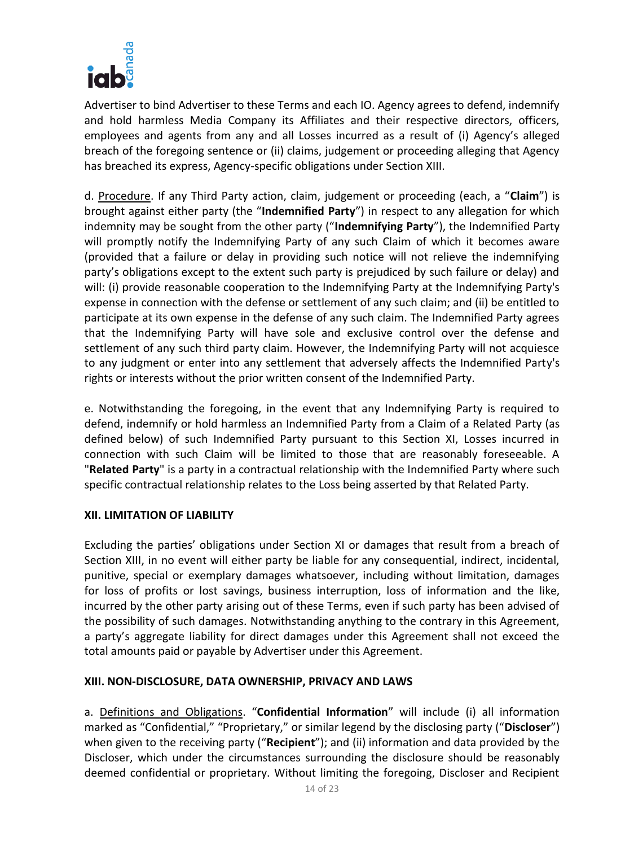

Advertiser to bind Advertiser to these Terms and each IO. Agency agrees to defend, indemnify and hold harmless Media Company its Affiliates and their respective directors, officers, employees and agents from any and all Losses incurred as a result of (i) Agency's alleged breach of the foregoing sentence or (ii) claims, judgement or proceeding alleging that Agency has breached its express, Agency-specific obligations under Section XIII.

d. Procedure. If any Third Party action, claim, judgement or proceeding (each, a "**Claim**") is brought against either party (the "**Indemnified Party**") in respect to any allegation for which indemnity may be sought from the other party ("**Indemnifying Party**"), the Indemnified Party will promptly notify the Indemnifying Party of any such Claim of which it becomes aware (provided that a failure or delay in providing such notice will not relieve the indemnifying party's obligations except to the extent such party is prejudiced by such failure or delay) and will: (i) provide reasonable cooperation to the Indemnifying Party at the Indemnifying Party's expense in connection with the defense or settlement of any such claim; and (ii) be entitled to participate at its own expense in the defense of any such claim. The Indemnified Party agrees that the Indemnifying Party will have sole and exclusive control over the defense and settlement of any such third party claim. However, the Indemnifying Party will not acquiesce to any judgment or enter into any settlement that adversely affects the Indemnified Party's rights or interests without the prior written consent of the Indemnified Party.

e. Notwithstanding the foregoing, in the event that any Indemnifying Party is required to defend, indemnify or hold harmless an Indemnified Party from a Claim of a Related Party (as defined below) of such Indemnified Party pursuant to this Section XI, Losses incurred in connection with such Claim will be limited to those that are reasonably foreseeable. A "**Related Party**" is a party in a contractual relationship with the Indemnified Party where such specific contractual relationship relates to the Loss being asserted by that Related Party.

## **XII. LIMITATION OF LIABILITY**

Excluding the parties' obligations under Section XI or damages that result from a breach of Section XIII, in no event will either party be liable for any consequential, indirect, incidental, punitive, special or exemplary damages whatsoever, including without limitation, damages for loss of profits or lost savings, business interruption, loss of information and the like, incurred by the other party arising out of these Terms, even if such party has been advised of the possibility of such damages. Notwithstanding anything to the contrary in this Agreement, a party's aggregate liability for direct damages under this Agreement shall not exceed the total amounts paid or payable by Advertiser under this Agreement.

## **XIII. NON-DISCLOSURE, DATA OWNERSHIP, PRIVACY AND LAWS**

a. Definitions and Obligations. "**Confidential Information**" will include (i) all information marked as "Confidential," "Proprietary," or similar legend by the disclosing party ("**Discloser**") when given to the receiving party ("**Recipient**"); and (ii) information and data provided by the Discloser, which under the circumstances surrounding the disclosure should be reasonably deemed confidential or proprietary. Without limiting the foregoing, Discloser and Recipient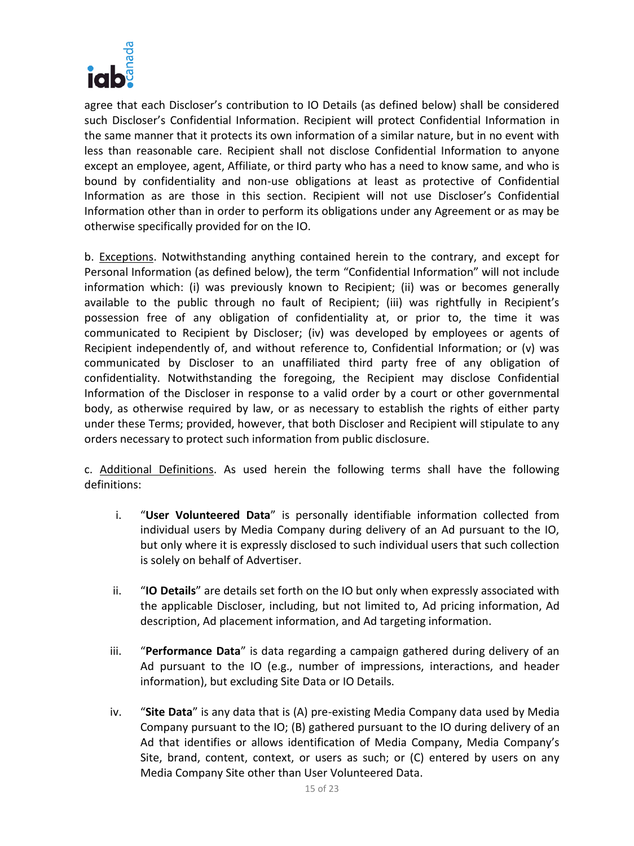

agree that each Discloser's contribution to IO Details (as defined below) shall be considered such Discloser's Confidential Information. Recipient will protect Confidential Information in the same manner that it protects its own information of a similar nature, but in no event with less than reasonable care. Recipient shall not disclose Confidential Information to anyone except an employee, agent, Affiliate, or third party who has a need to know same, and who is bound by confidentiality and non-use obligations at least as protective of Confidential Information as are those in this section. Recipient will not use Discloser's Confidential Information other than in order to perform its obligations under any Agreement or as may be otherwise specifically provided for on the IO.

b. Exceptions. Notwithstanding anything contained herein to the contrary, and except for Personal Information (as defined below), the term "Confidential Information" will not include information which: (i) was previously known to Recipient; (ii) was or becomes generally available to the public through no fault of Recipient; (iii) was rightfully in Recipient's possession free of any obligation of confidentiality at, or prior to, the time it was communicated to Recipient by Discloser; (iv) was developed by employees or agents of Recipient independently of, and without reference to, Confidential Information; or (v) was communicated by Discloser to an unaffiliated third party free of any obligation of confidentiality. Notwithstanding the foregoing, the Recipient may disclose Confidential Information of the Discloser in response to a valid order by a court or other governmental body, as otherwise required by law, or as necessary to establish the rights of either party under these Terms; provided, however, that both Discloser and Recipient will stipulate to any orders necessary to protect such information from public disclosure.

c. Additional Definitions. As used herein the following terms shall have the following definitions:

- i. "**User Volunteered Data**" is personally identifiable information collected from individual users by Media Company during delivery of an Ad pursuant to the IO, but only where it is expressly disclosed to such individual users that such collection is solely on behalf of Advertiser.
- ii. "**IO Details**" are details set forth on the IO but only when expressly associated with the applicable Discloser, including, but not limited to, Ad pricing information, Ad description, Ad placement information, and Ad targeting information.
- iii. "**Performance Data**" is data regarding a campaign gathered during delivery of an Ad pursuant to the IO (e.g., number of impressions, interactions, and header information), but excluding Site Data or IO Details.
- iv. "**Site Data**" is any data that is (A) pre-existing Media Company data used by Media Company pursuant to the IO; (B) gathered pursuant to the IO during delivery of an Ad that identifies or allows identification of Media Company, Media Company's Site, brand, content, context, or users as such; or (C) entered by users on any Media Company Site other than User Volunteered Data.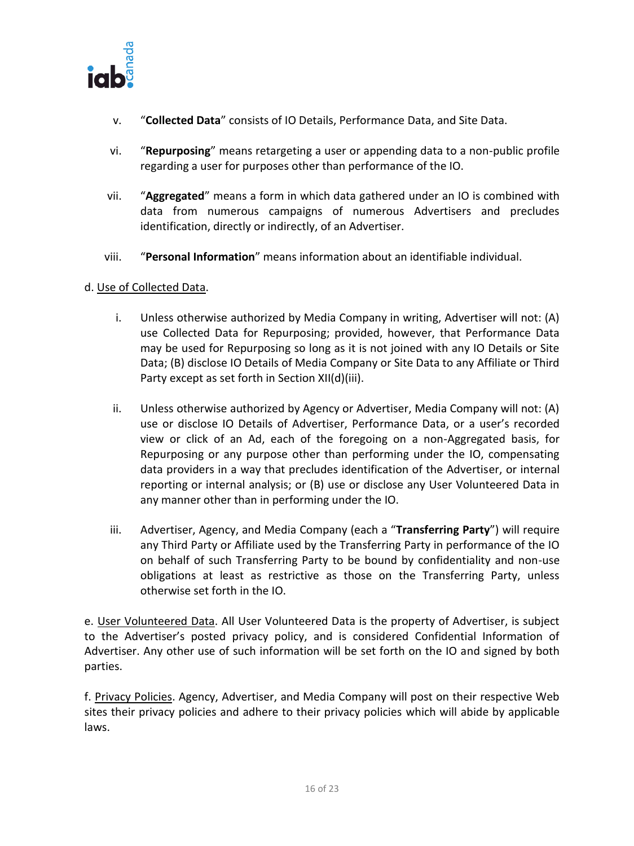

- v. "**Collected Data**" consists of IO Details, Performance Data, and Site Data.
- vi. "**Repurposing**" means retargeting a user or appending data to a non-public profile regarding a user for purposes other than performance of the IO.
- vii. "**Aggregated**" means a form in which data gathered under an IO is combined with data from numerous campaigns of numerous Advertisers and precludes identification, directly or indirectly, of an Advertiser.
- viii. "**Personal Information**" means information about an identifiable individual.

## d. Use of Collected Data.

- i. Unless otherwise authorized by Media Company in writing, Advertiser will not: (A) use Collected Data for Repurposing; provided, however, that Performance Data may be used for Repurposing so long as it is not joined with any IO Details or Site Data; (B) disclose IO Details of Media Company or Site Data to any Affiliate or Third Party except as set forth in Section XII(d)(iii).
- ii. Unless otherwise authorized by Agency or Advertiser, Media Company will not: (A) use or disclose IO Details of Advertiser, Performance Data, or a user's recorded view or click of an Ad, each of the foregoing on a non-Aggregated basis, for Repurposing or any purpose other than performing under the IO, compensating data providers in a way that precludes identification of the Advertiser, or internal reporting or internal analysis; or (B) use or disclose any User Volunteered Data in any manner other than in performing under the IO.
- iii. Advertiser, Agency, and Media Company (each a "**Transferring Party**") will require any Third Party or Affiliate used by the Transferring Party in performance of the IO on behalf of such Transferring Party to be bound by confidentiality and non-use obligations at least as restrictive as those on the Transferring Party, unless otherwise set forth in the IO.

e. User Volunteered Data. All User Volunteered Data is the property of Advertiser, is subject to the Advertiser's posted privacy policy, and is considered Confidential Information of Advertiser. Any other use of such information will be set forth on the IO and signed by both parties.

f. Privacy Policies. Agency, Advertiser, and Media Company will post on their respective Web sites their privacy policies and adhere to their privacy policies which will abide by applicable laws.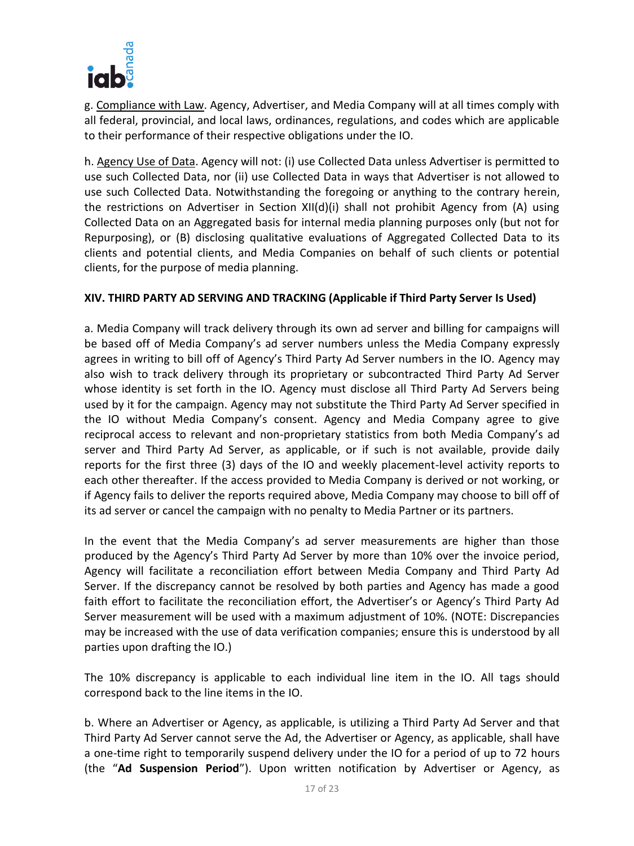

g. Compliance with Law. Agency, Advertiser, and Media Company will at all times comply with all federal, provincial, and local laws, ordinances, regulations, and codes which are applicable to their performance of their respective obligations under the IO.

h. Agency Use of Data. Agency will not: (i) use Collected Data unless Advertiser is permitted to use such Collected Data, nor (ii) use Collected Data in ways that Advertiser is not allowed to use such Collected Data. Notwithstanding the foregoing or anything to the contrary herein, the restrictions on Advertiser in Section XII(d)(i) shall not prohibit Agency from (A) using Collected Data on an Aggregated basis for internal media planning purposes only (but not for Repurposing), or (B) disclosing qualitative evaluations of Aggregated Collected Data to its clients and potential clients, and Media Companies on behalf of such clients or potential clients, for the purpose of media planning.

## **XIV. THIRD PARTY AD SERVING AND TRACKING (Applicable if Third Party Server Is Used)**

a. Media Company will track delivery through its own ad server and billing for campaigns will be based off of Media Company's ad server numbers unless the Media Company expressly agrees in writing to bill off of Agency's Third Party Ad Server numbers in the IO. Agency may also wish to track delivery through its proprietary or subcontracted Third Party Ad Server whose identity is set forth in the IO. Agency must disclose all Third Party Ad Servers being used by it for the campaign. Agency may not substitute the Third Party Ad Server specified in the IO without Media Company's consent. Agency and Media Company agree to give reciprocal access to relevant and non-proprietary statistics from both Media Company's ad server and Third Party Ad Server, as applicable, or if such is not available, provide daily reports for the first three (3) days of the IO and weekly placement-level activity reports to each other thereafter. If the access provided to Media Company is derived or not working, or if Agency fails to deliver the reports required above, Media Company may choose to bill off of its ad server or cancel the campaign with no penalty to Media Partner or its partners.

In the event that the Media Company's ad server measurements are higher than those produced by the Agency's Third Party Ad Server by more than 10% over the invoice period, Agency will facilitate a reconciliation effort between Media Company and Third Party Ad Server. If the discrepancy cannot be resolved by both parties and Agency has made a good faith effort to facilitate the reconciliation effort, the Advertiser's or Agency's Third Party Ad Server measurement will be used with a maximum adjustment of 10%. (NOTE: Discrepancies may be increased with the use of data verification companies; ensure this is understood by all parties upon drafting the IO.)

The 10% discrepancy is applicable to each individual line item in the IO. All tags should correspond back to the line items in the IO.

b. Where an Advertiser or Agency, as applicable, is utilizing a Third Party Ad Server and that Third Party Ad Server cannot serve the Ad, the Advertiser or Agency, as applicable, shall have a one-time right to temporarily suspend delivery under the IO for a period of up to 72 hours (the "**Ad Suspension Period**"). Upon written notification by Advertiser or Agency, as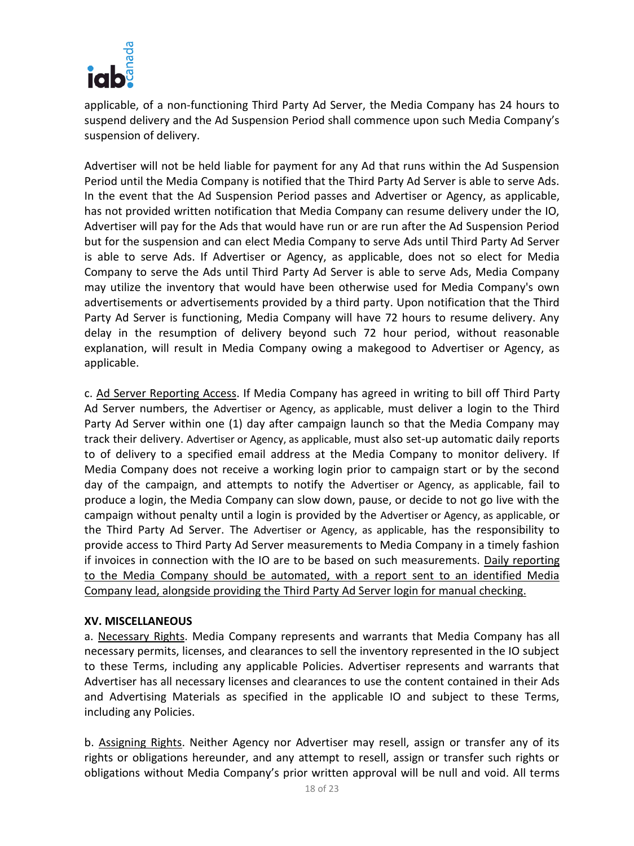

applicable, of a non-functioning Third Party Ad Server, the Media Company has 24 hours to suspend delivery and the Ad Suspension Period shall commence upon such Media Company's suspension of delivery.

Advertiser will not be held liable for payment for any Ad that runs within the Ad Suspension Period until the Media Company is notified that the Third Party Ad Server is able to serve Ads. In the event that the Ad Suspension Period passes and Advertiser or Agency, as applicable, has not provided written notification that Media Company can resume delivery under the IO, Advertiser will pay for the Ads that would have run or are run after the Ad Suspension Period but for the suspension and can elect Media Company to serve Ads until Third Party Ad Server is able to serve Ads. If Advertiser or Agency, as applicable, does not so elect for Media Company to serve the Ads until Third Party Ad Server is able to serve Ads, Media Company may utilize the inventory that would have been otherwise used for Media Company's own advertisements or advertisements provided by a third party. Upon notification that the Third Party Ad Server is functioning, Media Company will have 72 hours to resume delivery. Any delay in the resumption of delivery beyond such 72 hour period, without reasonable explanation, will result in Media Company owing a makegood to Advertiser or Agency, as applicable.

c. Ad Server Reporting Access. If Media Company has agreed in writing to bill off Third Party Ad Server numbers, the Advertiser or Agency, as applicable, must deliver a login to the Third Party Ad Server within one (1) day after campaign launch so that the Media Company may track their delivery. Advertiser or Agency, as applicable, must also set-up automatic daily reports to of delivery to a specified email address at the Media Company to monitor delivery. If Media Company does not receive a working login prior to campaign start or by the second day of the campaign, and attempts to notify the Advertiser or Agency, as applicable, fail to produce a login, the Media Company can slow down, pause, or decide to not go live with the campaign without penalty until a login is provided by the Advertiser or Agency, as applicable, or the Third Party Ad Server. The Advertiser or Agency, as applicable, has the responsibility to provide access to Third Party Ad Server measurements to Media Company in a timely fashion if invoices in connection with the IO are to be based on such measurements. Daily reporting to the Media Company should be automated, with a report sent to an identified Media Company lead, alongside providing the Third Party Ad Server login for manual checking.

## **XV. MISCELLANEOUS**

a. Necessary Rights. Media Company represents and warrants that Media Company has all necessary permits, licenses, and clearances to sell the inventory represented in the IO subject to these Terms, including any applicable Policies. Advertiser represents and warrants that Advertiser has all necessary licenses and clearances to use the content contained in their Ads and Advertising Materials as specified in the applicable IO and subject to these Terms, including any Policies.

b. Assigning Rights. Neither Agency nor Advertiser may resell, assign or transfer any of its rights or obligations hereunder, and any attempt to resell, assign or transfer such rights or obligations without Media Company's prior written approval will be null and void. All terms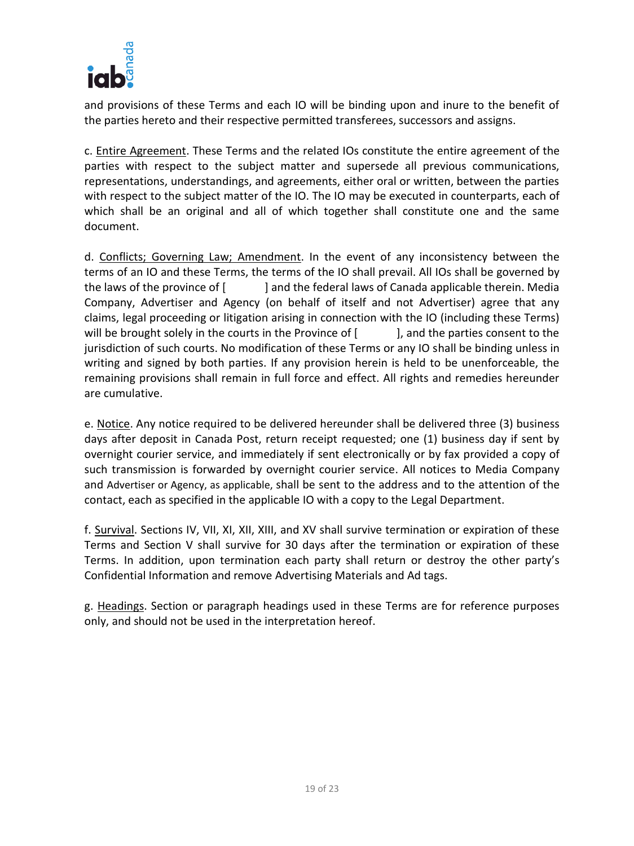

and provisions of these Terms and each IO will be binding upon and inure to the benefit of the parties hereto and their respective permitted transferees, successors and assigns.

c. Entire Agreement. These Terms and the related IOs constitute the entire agreement of the parties with respect to the subject matter and supersede all previous communications, representations, understandings, and agreements, either oral or written, between the parties with respect to the subject matter of the IO. The IO may be executed in counterparts, each of which shall be an original and all of which together shall constitute one and the same document.

d. Conflicts; Governing Law; Amendment. In the event of any inconsistency between the terms of an IO and these Terms, the terms of the IO shall prevail. All IOs shall be governed by the laws of the province of [ ] and the federal laws of Canada applicable therein. Media Company, Advertiser and Agency (on behalf of itself and not Advertiser) agree that any claims, legal proceeding or litigation arising in connection with the IO (including these Terms) will be brought solely in the courts in the Province of  $\lceil \cdot \cdot \cdot \rceil$ , and the parties consent to the jurisdiction of such courts. No modification of these Terms or any IO shall be binding unless in writing and signed by both parties. If any provision herein is held to be unenforceable, the remaining provisions shall remain in full force and effect. All rights and remedies hereunder are cumulative.

e. Notice. Any notice required to be delivered hereunder shall be delivered three (3) business days after deposit in Canada Post, return receipt requested; one (1) business day if sent by overnight courier service, and immediately if sent electronically or by fax provided a copy of such transmission is forwarded by overnight courier service. All notices to Media Company and Advertiser or Agency, as applicable, shall be sent to the address and to the attention of the contact, each as specified in the applicable IO with a copy to the Legal Department.

f. Survival. Sections IV, VII, XI, XII, XIII, and XV shall survive termination or expiration of these Terms and Section V shall survive for 30 days after the termination or expiration of these Terms. In addition, upon termination each party shall return or destroy the other party's Confidential Information and remove Advertising Materials and Ad tags.

g. Headings. Section or paragraph headings used in these Terms are for reference purposes only, and should not be used in the interpretation hereof.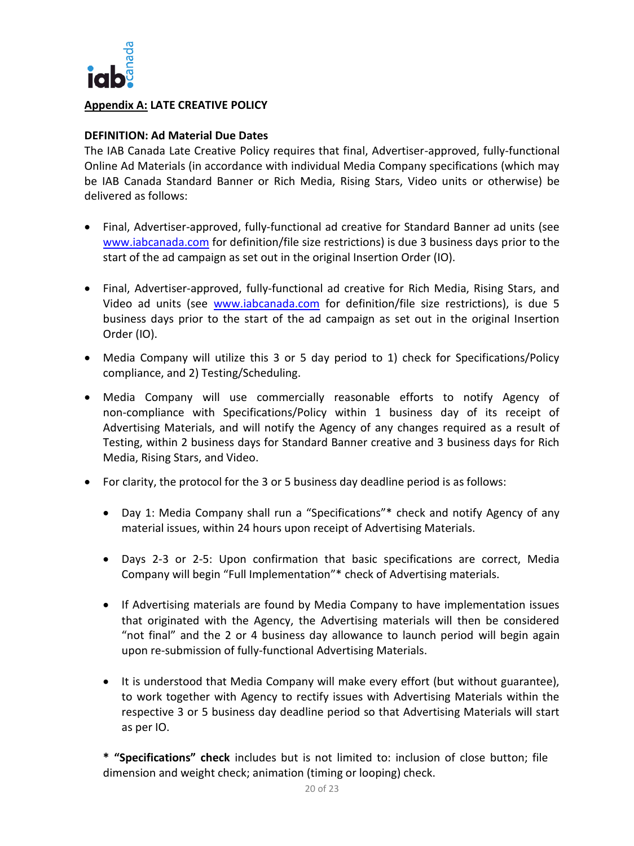

## **Appendix A: LATE CREATIVE POLICY**

## **DEFINITION: Ad Material Due Dates**

The IAB Canada Late Creative Policy requires that final, Advertiser-approved, fully-functional Online Ad Materials (in accordance with individual Media Company specifications (which may be IAB Canada Standard Banner or Rich Media, Rising Stars, Video units or otherwise) be delivered as follows:

- Final, Advertiser-approved, fully-functional ad creative for Standard Banner ad units (see [www.iabcanada.com](http://www.iabcanada.com/) for definition/file size restrictions) is due 3 business days prior to the start of the ad campaign as set out in the original Insertion Order (IO).
- Final, Advertiser-approved, fully-functional ad creative for Rich Media, Rising Stars, and Video ad units (see [www.iabcanada.com](http://www.iabcanada.com/) for definition/file size restrictions), is due 5 business days prior to the start of the ad campaign as set out in the original Insertion Order (IO).
- Media Company will utilize this 3 or 5 day period to 1) check for Specifications/Policy compliance, and 2) Testing/Scheduling.
- Media Company will use commercially reasonable efforts to notify Agency of non-compliance with Specifications/Policy within 1 business day of its receipt of Advertising Materials, and will notify the Agency of any changes required as a result of Testing, within 2 business days for Standard Banner creative and 3 business days for Rich Media, Rising Stars, and Video.
- For clarity, the protocol for the 3 or 5 business day deadline period is as follows:
	- Day 1: Media Company shall run a "Specifications"\* check and notify Agency of any material issues, within 24 hours upon receipt of Advertising Materials.
	- Days 2-3 or 2-5: Upon confirmation that basic specifications are correct, Media Company will begin "Full Implementation"\* check of Advertising materials.
	- If Advertising materials are found by Media Company to have implementation issues that originated with the Agency, the Advertising materials will then be considered "not final" and the 2 or 4 business day allowance to launch period will begin again upon re-submission of fully-functional Advertising Materials.
	- It is understood that Media Company will make every effort (but without guarantee), to work together with Agency to rectify issues with Advertising Materials within the respective 3 or 5 business day deadline period so that Advertising Materials will start as per IO.

**\* "Specifications" check** includes but is not limited to: inclusion of close button; file dimension and weight check; animation (timing or looping) check.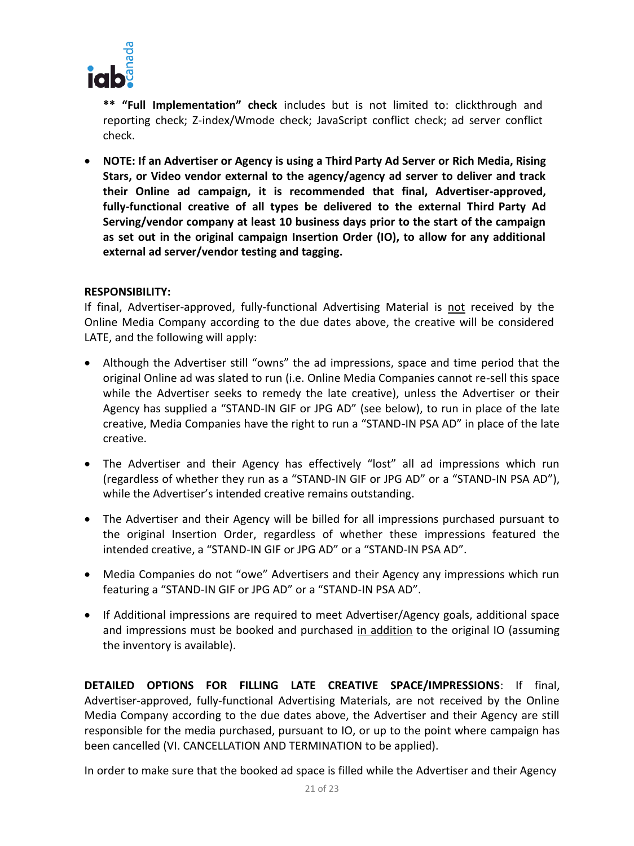

**\*\* "Full Implementation" check** includes but is not limited to: clickthrough and reporting check; Z-index/Wmode check; JavaScript conflict check; ad server conflict check.

 **NOTE: If an Advertiser or Agency is using a Third Party Ad Server or Rich Media, Rising Stars, or Video vendor external to the agency/agency ad server to deliver and track their Online ad campaign, it is recommended that final, Advertiser-approved, fully-functional creative of all types be delivered to the external Third Party Ad Serving/vendor company at least 10 business days prior to the start of the campaign as set out in the original campaign Insertion Order (IO), to allow for any additional external ad server/vendor testing and tagging.** 

## **RESPONSIBILITY:**

If final, Advertiser-approved, fully-functional Advertising Material is not received by the Online Media Company according to the due dates above, the creative will be considered LATE, and the following will apply:

- Although the Advertiser still "owns" the ad impressions, space and time period that the original Online ad was slated to run (i.e. Online Media Companies cannot re-sell this space while the Advertiser seeks to remedy the late creative), unless the Advertiser or their Agency has supplied a "STAND-IN GIF or JPG AD" (see below), to run in place of the late creative, Media Companies have the right to run a "STAND-IN PSA AD" in place of the late creative.
- The Advertiser and their Agency has effectively "lost" all ad impressions which run (regardless of whether they run as a "STAND-IN GIF or JPG AD" or a "STAND-IN PSA AD"), while the Advertiser's intended creative remains outstanding.
- The Advertiser and their Agency will be billed for all impressions purchased pursuant to the original Insertion Order, regardless of whether these impressions featured the intended creative, a "STAND-IN GIF or JPG AD" or a "STAND-IN PSA AD".
- Media Companies do not "owe" Advertisers and their Agency any impressions which run featuring a "STAND-IN GIF or JPG AD" or a "STAND-IN PSA AD".
- If Additional impressions are required to meet Advertiser/Agency goals, additional space and impressions must be booked and purchased in addition to the original IO (assuming the inventory is available).

**DETAILED OPTIONS FOR FILLING LATE CREATIVE SPACE/IMPRESSIONS**: If final, Advertiser-approved, fully-functional Advertising Materials, are not received by the Online Media Company according to the due dates above, the Advertiser and their Agency are still responsible for the media purchased, pursuant to IO, or up to the point where campaign has been cancelled (VI. CANCELLATION AND TERMINATION to be applied).

In order to make sure that the booked ad space is filled while the Advertiser and their Agency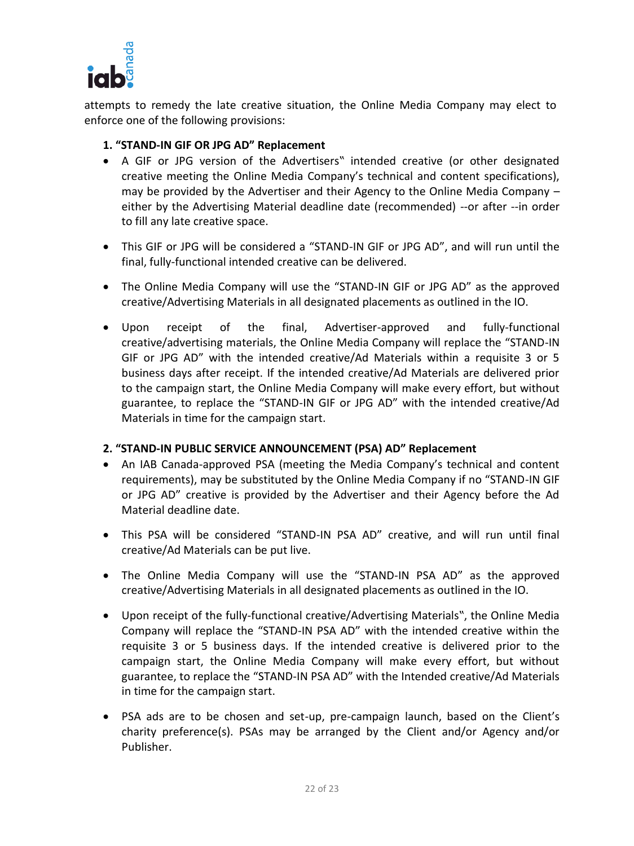

attempts to remedy the late creative situation, the Online Media Company may elect to enforce one of the following provisions:

# **1. "STAND-IN GIF OR JPG AD" Replacement**

- A GIF or JPG version of the Advertisers" intended creative (or other designated creative meeting the Online Media Company's technical and content specifications), may be provided by the Advertiser and their Agency to the Online Media Company – either by the Advertising Material deadline date (recommended) --or after --in order to fill any late creative space.
- This GIF or JPG will be considered a "STAND-IN GIF or JPG AD", and will run until the final, fully-functional intended creative can be delivered.
- The Online Media Company will use the "STAND-IN GIF or JPG AD" as the approved creative/Advertising Materials in all designated placements as outlined in the IO.
- Upon receipt of the final, Advertiser-approved and fully-functional creative/advertising materials, the Online Media Company will replace the "STAND-IN GIF or JPG AD" with the intended creative/Ad Materials within a requisite 3 or 5 business days after receipt. If the intended creative/Ad Materials are delivered prior to the campaign start, the Online Media Company will make every effort, but without guarantee, to replace the "STAND-IN GIF or JPG AD" with the intended creative/Ad Materials in time for the campaign start.

## **2. "STAND-IN PUBLIC SERVICE ANNOUNCEMENT (PSA) AD" Replacement**

- An IAB Canada-approved PSA (meeting the Media Company's technical and content requirements), may be substituted by the Online Media Company if no "STAND-IN GIF or JPG AD" creative is provided by the Advertiser and their Agency before the Ad Material deadline date.
- This PSA will be considered "STAND-IN PSA AD" creative, and will run until final creative/Ad Materials can be put live.
- The Online Media Company will use the "STAND-IN PSA AD" as the approved creative/Advertising Materials in all designated placements as outlined in the IO.
- Upon receipt of the fully-functional creative/Advertising Materials", the Online Media Company will replace the "STAND-IN PSA AD" with the intended creative within the requisite 3 or 5 business days. If the intended creative is delivered prior to the campaign start, the Online Media Company will make every effort, but without guarantee, to replace the "STAND-IN PSA AD" with the Intended creative/Ad Materials in time for the campaign start.
- PSA ads are to be chosen and set-up, pre-campaign launch, based on the Client's charity preference(s). PSAs may be arranged by the Client and/or Agency and/or Publisher.